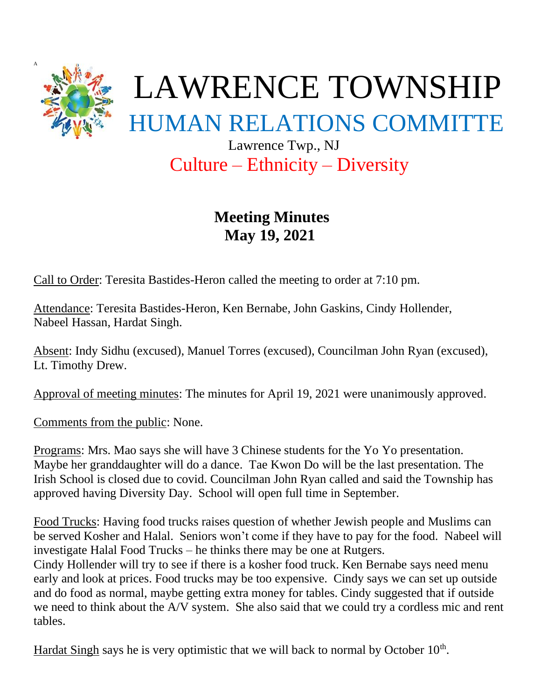

## Culture – Ethnicity – Diversity

## **Meeting Minutes May 19, 2021**

Call to Order: Teresita Bastides-Heron called the meeting to order at 7:10 pm.

Attendance: Teresita Bastides-Heron, Ken Bernabe, John Gaskins, Cindy Hollender, Nabeel Hassan, Hardat Singh.

Absent: Indy Sidhu (excused), Manuel Torres (excused), Councilman John Ryan (excused), Lt. Timothy Drew.

Approval of meeting minutes: The minutes for April 19, 2021 were unanimously approved.

Comments from the public: None.

Programs: Mrs. Mao says she will have 3 Chinese students for the Yo Yo presentation. Maybe her granddaughter will do a dance. Tae Kwon Do will be the last presentation. The Irish School is closed due to covid. Councilman John Ryan called and said the Township has approved having Diversity Day. School will open full time in September.

Food Trucks: Having food trucks raises question of whether Jewish people and Muslims can be served Kosher and Halal. Seniors won't come if they have to pay for the food. Nabeel will investigate Halal Food Trucks – he thinks there may be one at Rutgers. Cindy Hollender will try to see if there is a kosher food truck. Ken Bernabe says need menu early and look at prices. Food trucks may be too expensive. Cindy says we can set up outside and do food as normal, maybe getting extra money for tables. Cindy suggested that if outside we need to think about the A/V system. She also said that we could try a cordless mic and rent tables.

Hardat Singh says he is very optimistic that we will back to normal by October 10<sup>th</sup>.